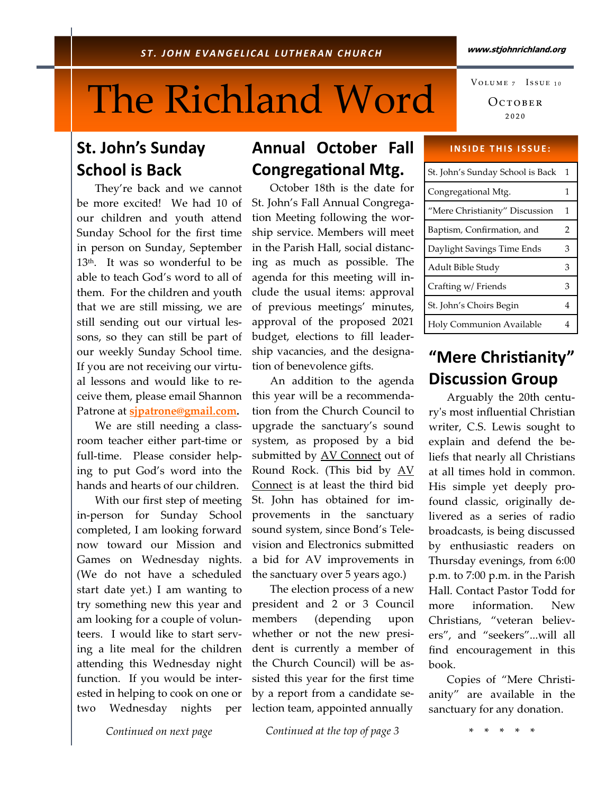#### www.stjohnrichland.org

# The Richland Word

## St. John's Sunday School is Back

 They're back and we cannot be more excited! We had 10 of our children and youth attend Sunday School for the first time in person on Sunday, September 13<sup>th</sup>. It was so wonderful to be able to teach God's word to all of them. For the children and youth that we are still missing, we are still sending out our virtual lessons, so they can still be part of our weekly Sunday School time. If you are not receiving our virtual lessons and would like to receive them, please email Shannon Patrone at sipatrone@gmail.com.

 We are still needing a classroom teacher either part-time or full-time. Please consider helping to put God's word into the hands and hearts of our children.

 With our first step of meeting in-person for Sunday School completed, I am looking forward now toward our Mission and Games on Wednesday nights. (We do not have a scheduled start date yet.) I am wanting to try something new this year and am looking for a couple of volunteers. I would like to start serving a lite meal for the children attending this Wednesday night function. If you would be interested in helping to cook on one or two Wednesday nights per

## Annual October Fall **Congregational Mtg.**

 October 18th is the date for St. John's Fall Annual Congregation Meeting following the worship service. Members will meet in the Parish Hall, social distancing as much as possible. The agenda for this meeting will include the usual items: approval of previous meetings' minutes, approval of the proposed 2021 budget, elections to fill leadership vacancies, and the designation of benevolence gifts.

 An addition to the agenda this year will be a recommendation from the Church Council to upgrade the sanctuary's sound system, as proposed by a bid submitted by AV Connect out of Round Rock. (This bid by AV Connect is at least the third bid St. John has obtained for improvements in the sanctuary sound system, since Bond's Television and Electronics submitted a bid for AV improvements in the sanctuary over 5 years ago.)

 The election process of a new president and 2 or 3 Council members (depending upon whether or not the new president is currently a member of the Church Council) will be assisted this year for the first time by a report from a candidate selection team, appointed annually

 $O$   $C$   $T$  $O$  $B$  $E$  $R$ ₂₀₂₀ VOLUME 7 ISSUE 10

#### **INSIDE THIS ISSUE:**

| St. John's Sunday School is Back | $\mathbf 1$ |
|----------------------------------|-------------|
| Congregational Mtg.              | 1           |
| "Mere Christianity" Discussion   | 1           |
| Baptism, Confirmation, and       | 2           |
| Daylight Savings Time Ends       | 3           |
| Adult Bible Study                | З           |
| Crafting w/ Friends              | З           |
| St. John's Choirs Begin          | 4           |
| Holy Communion Available         | 4           |

## "Mere Christianity" Discussion Group

 Arguably the 20th centuryʹs most influential Christian writer, C.S. Lewis sought to explain and defend the beliefs that nearly all Christians at all times hold in common. His simple yet deeply profound classic, originally delivered as a series of radio broadcasts, is being discussed by enthusiastic readers on Thursday evenings, from 6:00 p.m. to 7:00 p.m. in the Parish Hall. Contact Pastor Todd for more information. New Christians, "veteran believers", and "seekers"...will all find encouragement in this book.

 Copies of "Mere Christianity" are available in the sanctuary for any donation.

Continued on next page

Continued at the top of page 3

\* \* \* \* \*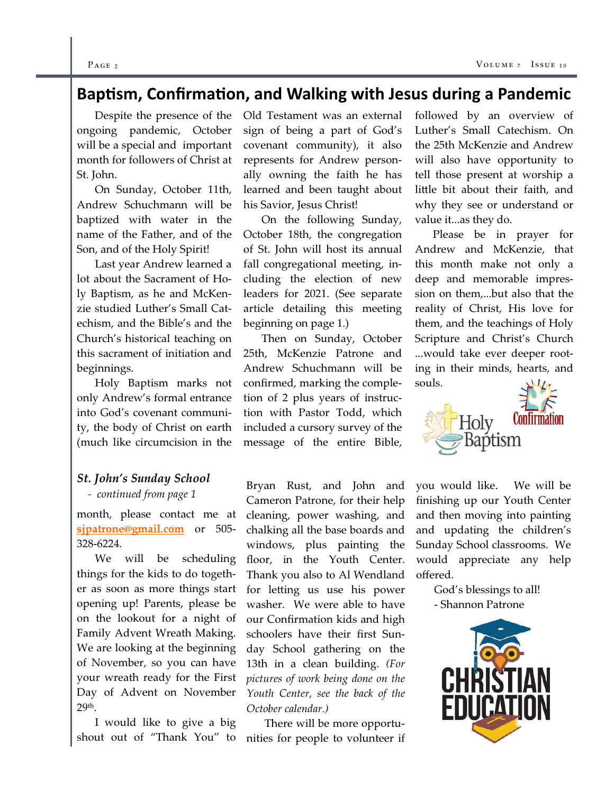#### $P_{\text{AGE 2}}$  volume  $\overline{V}$

## Baptism, Confirmation, and Walking with Jesus during a Pandemic

 Despite the presence of the ongoing pandemic, October will be a special and important month for followers of Christ at St. John.

 On Sunday, October 11th, Andrew Schuchmann will be baptized with water in the name of the Father, and of the Son, and of the Holy Spirit!

 Last year Andrew learned a lot about the Sacrament of Holy Baptism, as he and McKenzie studied Luther's Small Catechism, and the Bible's and the Church's historical teaching on this sacrament of initiation and beginnings.

 Holy Baptism marks not only Andrew's formal entrance into God's covenant community, the body of Christ on earth (much like circumcision in the

### St. John's Sunday School

#### - continued from page 1

month, please contact me at sjpatrone@gmail.com or 505-328-6224.

 We will be scheduling things for the kids to do together as soon as more things start opening up! Parents, please be on the lookout for a night of Family Advent Wreath Making. We are looking at the beginning of November, so you can have your wreath ready for the First Day of Advent on November 29th.

 I would like to give a big shout out of "Thank You" to

Old Testament was an external sign of being a part of God's covenant community), it also represents for Andrew personally owning the faith he has learned and been taught about his Savior, Jesus Christ!

 On the following Sunday, October 18th, the congregation of St. John will host its annual fall congregational meeting, including the election of new leaders for 2021. (See separate article detailing this meeting beginning on page 1.)

 Then on Sunday, October 25th, McKenzie Patrone and Andrew Schuchmann will be confirmed, marking the completion of 2 plus years of instruction with Pastor Todd, which included a cursory survey of the message of the entire Bible,

Bryan Rust, and John and Cameron Patrone, for their help cleaning, power washing, and chalking all the base boards and windows, plus painting the floor, in the Youth Center. Thank you also to Al Wendland for letting us use his power washer. We were able to have our Confirmation kids and high schoolers have their first Sunday School gathering on the 13th in a clean building. (For pictures of work being done on the Youth Center, see the back of the October calendar.)

 There will be more opportunities for people to volunteer if

followed by an overview of Luther's Small Catechism. On the 25th McKenzie and Andrew will also have opportunity to tell those present at worship a little bit about their faith, and why they see or understand or value it...as they do.

 Please be in prayer for Andrew and McKenzie, that this month make not only a deep and memorable impression on them,...but also that the reality of Christ, His love for them, and the teachings of Holy Scripture and Christ's Church ...would take ever deeper rooting in their minds, hearts, and souls.



you would like. We will be finishing up our Youth Center and then moving into painting and updating the children's Sunday School classrooms. We would appreciate any help offered.

 God's blessings to all! - Shannon Patrone

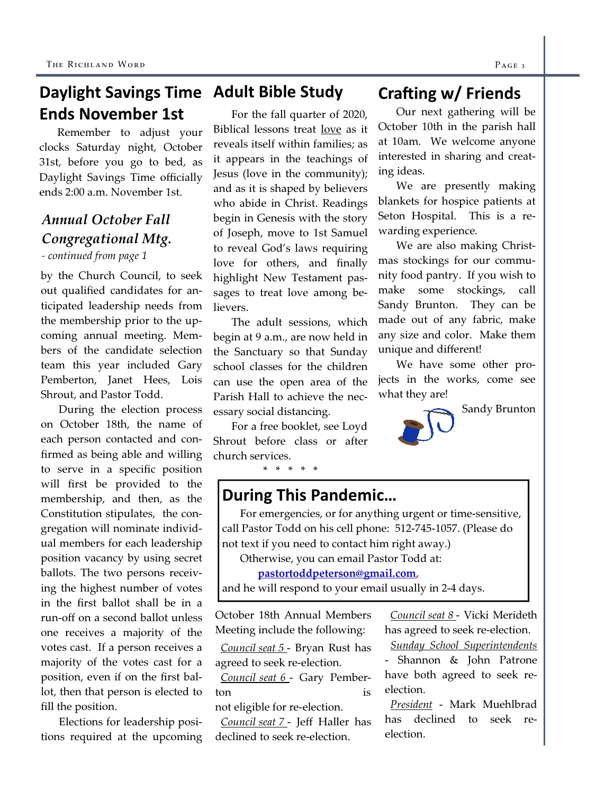## Daylight Savings Time Adult Bible Study Ends November 1st

Remember to adjust your clocks Saturday night, October 31st, before you go to bed, as Daylight Savings Time officially ends 2:00 a.m. November 1st.

## Annual October Fall Congregational Mtg.

- continued from page 1

by the Church Council, to seek out qualified candidates for anticipated leadership needs from the membership prior to the upcoming annual meeting. Members of the candidate selection team this year included Gary Pemberton, Janet Hees, Lois Shrout, and Pastor Todd.

 During the election process on October 18th, the name of each person contacted and confirmed as being able and willing to serve in a specific position will first be provided to the membership, and then, as the Constitution stipulates, the congregation will nominate individual members for each leadership position vacancy by using secret ballots. The two persons receiving the highest number of votes in the first ballot shall be in a run-off on a second ballot unless one receives a majority of the votes cast. If a person receives a majority of the votes cast for a position, even if on the first ballot, then that person is elected to fill the position.

 Elections for leadership positions required at the upcoming

 For the fall quarter of 2020, Biblical lessons treat love as it reveals itself within families; as it appears in the teachings of Jesus (love in the community); and as it is shaped by believers who abide in Christ. Readings begin in Genesis with the story of Joseph, move to 1st Samuel to reveal God's laws requiring love for others, and finally highlight New Testament passages to treat love among believers.

 The adult sessions, which begin at 9 a.m., are now held in the Sanctuary so that Sunday school classes for the children can use the open area of the Parish Hall to achieve the necessary social distancing.

 For a free booklet, see Loyd Shrout before class or after church services.

\* \* \* \* \*

## Crafting w/ Friends

Our next gathering will be October 10th in the parish hall at 10am. We welcome anyone interested in sharing and creating ideas.

 We are presently making blankets for hospice patients at Seton Hospital. This is a rewarding experience.

 We are also making Christmas stockings for our community food pantry. If you wish to make some stockings, call Sandy Brunton. They can be made out of any fabric, make any size and color. Make them unique and different!

 We have some other projects in the works, come see what they are!



## During This Pandemic…

 For emergencies, or for anything urgent or time-sensitive, call Pastor Todd on his cell phone: 512-745-1057. (Please do not text if you need to contact him right away.)

Otherwise, you can email Pastor Todd at:

pastortoddpeterson@gmail.com,

and he will respond to your email usually in 2-4 days.

October 18th Annual Members Meeting include the following:

 Council seat 5 - Bryan Rust has agreed to seek re-election.

 Council seat 6 - Gary Pemberton is

not eligible for re-election. Council seat 7 - Jeff Haller has declined to seek re-election.

 Council seat 8 - Vicki Merideth has agreed to seek re-election.

 Sunday School Superintendents - Shannon & John Patrone have both agreed to seek reelection.

 President - Mark Muehlbrad has declined to seek reelection.